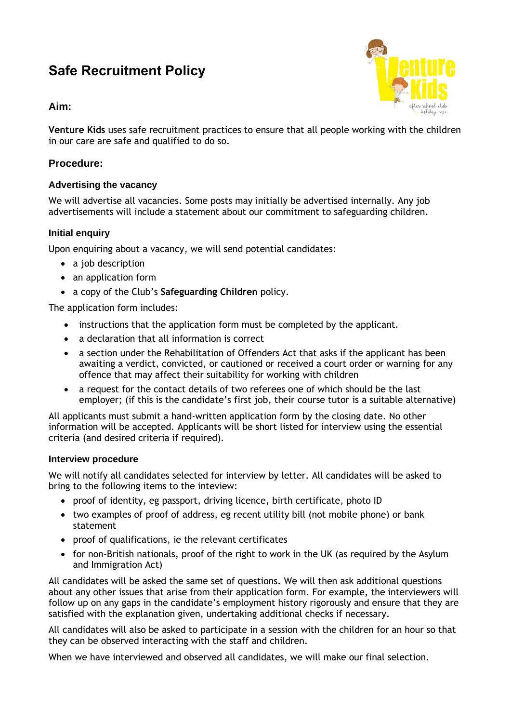# **Safe Recruitment Policy**



## **Aim:**

**Venture Kids** uses safe recruitment practices to ensure that all people working with the children in our care are safe and qualified to do so.

## **Procedure:**

## **Advertising the vacancy**

We will advertise all vacancies. Some posts may initially be advertised internally. Any job advertisements will include a statement about our commitment to safeguarding children.

## **Initial enquiry**

Upon enquiring about a vacancy, we will send potential candidates:

- a job description
- an application form
- a copy of the Club's **Safeguarding Children** policy.

The application form includes:

- instructions that the application form must be completed by the applicant.
- a declaration that all information is correct
- a section under the Rehabilitation of Offenders Act that asks if the applicant has been awaiting a verdict, convicted, or cautioned or received a court order or warning for any offence that may affect their suitability for working with children
- a request for the contact details of two referees one of which should be the last employer; (if this is the candidate's first job, their course tutor is a suitable alternative)

All applicants must submit a hand-written application form by the closing date. No other information will be accepted. Applicants will be short listed for interview using the essential criteria (and desired criteria if required).

#### **Interview procedure**

We will notify all candidates selected for interview by letter. All candidates will be asked to bring to the following items to the inteview:

- proof of identity, eg passport, driving licence, birth certificate, photo ID
- two examples of proof of address, eg recent utility bill (not mobile phone) or bank statement
- proof of qualifications, ie the relevant certificates
- for non-British nationals, proof of the right to work in the UK (as required by the Asylum and Immigration Act)

All candidates will be asked the same set of questions. We will then ask additional questions about any other issues that arise from their application form. For example, the interviewers will follow up on any gaps in the candidate's employment history rigorously and ensure that they are satisfied with the explanation given, undertaking additional checks if necessary.

All candidates will also be asked to participate in a session with the children for an hour so that they can be observed interacting with the staff and children.

When we have interviewed and observed all candidates, we will make our final selection.